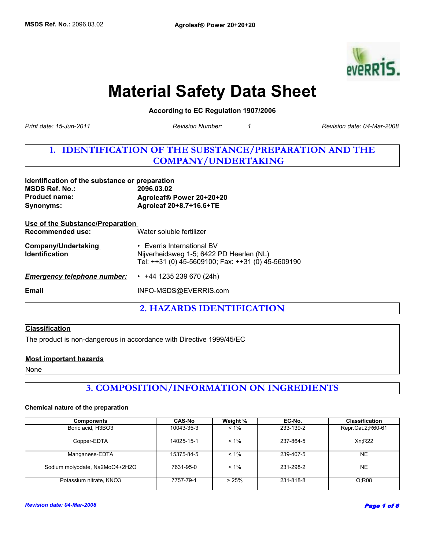

# **Material Safety Data Sheet**

**According to EC Regulation 1907/2006** 

**Revision Number:** 

*Print date: 15-Jun-2011 Revision date: 04-Mar-2008*

# **1. IDENTIFICATION OF THE SUBSTANCE/PREPARATION AND THE COMPANY/UNDERTAKING**

| Identification of the substance or preparation<br><b>MSDS Ref. No.:</b><br><b>Product name:</b><br>Synonyms: | 2096.03.02<br>Agroleaf® Power 20+20+20<br>Agroleaf 20+8.7+16.6+TE                                                            |  |
|--------------------------------------------------------------------------------------------------------------|------------------------------------------------------------------------------------------------------------------------------|--|
| Use of the Substance/Preparation<br>Recommended use:                                                         | Water soluble fertilizer                                                                                                     |  |
| <b>Company/Undertaking</b><br><b>Identification</b>                                                          | • Everris International BV<br>Nijverheidsweg 1-5; 6422 PD Heerlen (NL)<br>Tel: ++31 (0) 45-5609100; Fax: ++31 (0) 45-5609190 |  |
| <b>Emergency telephone number:</b>                                                                           | $\cdot$ +44 1235 239 670 (24h)                                                                                               |  |
| Email                                                                                                        | INFO-MSDS@EVERRIS.com                                                                                                        |  |
|                                                                                                              |                                                                                                                              |  |

**2. HAZARDS IDENTIFICATION**

### **Classification**

The product is non-dangerous in accordance with Directive 1999/45/EC

### **Most important hazards**

None

# **3. COMPOSITION/INFORMATION ON INGREDIENTS**

#### **Chemical nature of the preparation**

| <b>Components</b>              | <b>CAS-No</b> | Weight % | EC-No.    | <b>Classification</b> |
|--------------------------------|---------------|----------|-----------|-----------------------|
| Boric acid, H3BO3              | 10043-35-3    | $< 1\%$  | 233-139-2 | Repr.Cat.2;R60-61     |
| Copper-EDTA                    | 14025-15-1    | $< 1\%$  | 237-864-5 | Xn:R22                |
| Manganese-EDTA                 | 15375-84-5    | $< 1\%$  | 239-407-5 | <b>NE</b>             |
| Sodium molybdate, Na2MoO4+2H2O | 7631-95-0     | $< 1\%$  | 231-298-2 | <b>NE</b>             |
| Potassium nitrate, KNO3        | 7757-79-1     | >25%     | 231-818-8 | O:R08                 |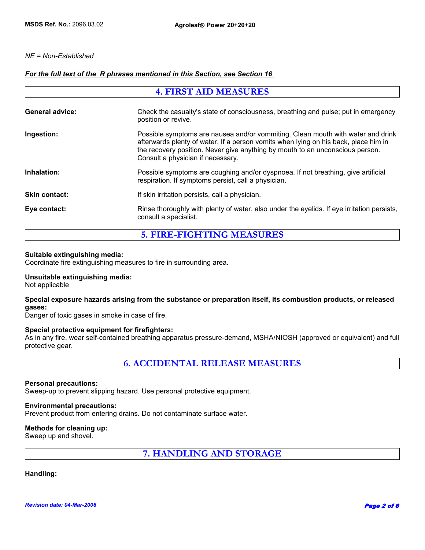### *NE = Non-Established*

### *For the full text of the R phrases mentioned in this Section, see Section 16*

| <b>4. FIRST AID MEASURES</b> |                                                                                                                                                                                                                                                                                              |  |
|------------------------------|----------------------------------------------------------------------------------------------------------------------------------------------------------------------------------------------------------------------------------------------------------------------------------------------|--|
| <b>General advice:</b>       | Check the casualty's state of consciousness, breathing and pulse; put in emergency<br>position or revive.                                                                                                                                                                                    |  |
| Ingestion:                   | Possible symptoms are nausea and/or vommiting. Clean mouth with water and drink<br>afterwards plenty of water. If a person vomits when lying on his back, place him in<br>the recovery position. Never give anything by mouth to an unconscious person.<br>Consult a physician if necessary. |  |
| Inhalation:                  | Possible symptoms are coughing and/or dyspnoea. If not breathing, give artificial<br>respiration. If symptoms persist, call a physician.                                                                                                                                                     |  |
| <b>Skin contact:</b>         | If skin irritation persists, call a physician.                                                                                                                                                                                                                                               |  |
| Eye contact:                 | Rinse thoroughly with plenty of water, also under the eyelids. If eye irritation persists,<br>consult a specialist.                                                                                                                                                                          |  |

**5. FIRE-FIGHTING MEASURES**

### **Suitable extinguishing media:**

Coordinate fire extinguishing measures to fire in surrounding area.

### **Unsuitable extinguishing media:**

Not applicable

### **Special exposure hazards arising from the substance or preparation itself, its combustion products, or released gases:**

Danger of toxic gases in smoke in case of fire.

### **Special protective equipment for firefighters:**

As in any fire, wear self-contained breathing apparatus pressure-demand, MSHA/NIOSH (approved or equivalent) and full protective gear.

**6. ACCIDENTAL RELEASE MEASURES**

### **Personal precautions:**

Sweep-up to prevent slipping hazard. Use personal protective equipment.

### **Environmental precautions:**

Prevent product from entering drains. Do not contaminate surface water.

### **Methods for cleaning up:**

Sweep up and shovel.

**7. HANDLING AND STORAGE**

### **Handling:**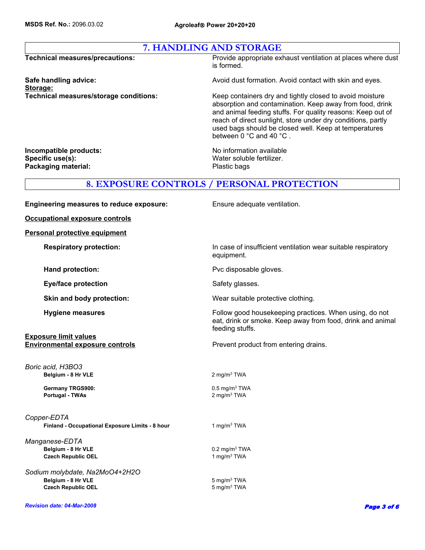|  | 7. HANDLING AND STORAGE |
|--|-------------------------|
|--|-------------------------|

Storage:<br>Technical measures/storage conditions:

**Technical measures/precautions:** Provide appropriate exhaust ventilation at places where dust is formed.

**Safe handling advice: Avoid dust formation. Avoid contact with skin and eyes.** Avoid contact with skin and eyes.

Keep containers dry and tightly closed to avoid moisture absorption and contamination. Keep away from food, drink and animal feeding stuffs. For quality reasons: Keep out of reach of direct sunlight, store under dry conditions, partly used bags should be closed well. Keep at temperatures between 0 °C and 40 °C .

Specific use(s): Water soluble fertilizer. Packaging material: **Packaging material:** Plastic bags

**Incompatible products:**  $\qquad \qquad \qquad \text{No information available}$ 

### **8. EXPOSURE CONTROLS / PERSONAL PROTECTION**

| <b>Engineering measures to reduce exposure:</b>                                   | Ensure adequate ventilation.                                                                                                            |
|-----------------------------------------------------------------------------------|-----------------------------------------------------------------------------------------------------------------------------------------|
| <b>Occupational exposure controls</b>                                             |                                                                                                                                         |
| <b>Personal protective equipment</b>                                              |                                                                                                                                         |
| <b>Respiratory protection:</b>                                                    | In case of insufficient ventilation wear suitable respiratory<br>equipment.                                                             |
| Hand protection:                                                                  | Pvc disposable gloves.                                                                                                                  |
| <b>Eye/face protection</b>                                                        | Safety glasses.                                                                                                                         |
| Skin and body protection:                                                         | Wear suitable protective clothing.                                                                                                      |
| <b>Hygiene measures</b>                                                           | Follow good housekeeping practices. When using, do not<br>eat, drink or smoke. Keep away from food, drink and animal<br>feeding stuffs. |
| <b>Exposure limit values</b><br><b>Environmental exposure controls</b>            | Prevent product from entering drains.                                                                                                   |
| Boric acid, H3BO3<br>Belgium - 8 Hr VLE                                           | 2 mg/m <sup>3</sup> TWA                                                                                                                 |
| <b>Germany TRGS900:</b><br><b>Portugal - TWAs</b>                                 | $0.5$ mg/m <sup>3</sup> TWA<br>2 mg/m <sup>3</sup> TWA                                                                                  |
| Copper-EDTA<br>Finland - Occupational Exposure Limits - 8 hour                    | 1 mg/m <sup>3</sup> TWA                                                                                                                 |
| Manganese-EDTA<br>Belgium - 8 Hr VLE<br><b>Czech Republic OEL</b>                 | $0.2$ mg/m <sup>3</sup> TWA<br>1 mg/m <sup>3</sup> TWA                                                                                  |
| Sodium molybdate, Na2MoO4+2H2O<br>Belgium - 8 Hr VLE<br><b>Czech Republic OEL</b> | $5 \text{ mg/m}^3$ TWA<br>5 mg/m <sup>3</sup> TWA                                                                                       |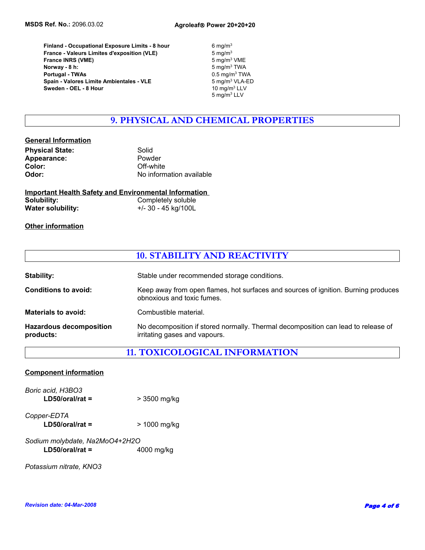**Portugal - TWAs** 0.5 mg/m3 TWA  **France - Valeurs Limites d'exposition (VLE) Spain - Valores Limite Ambientales - VLE Sweden - OEL - 8 Hour France INRS (VME)** 5 mg/m<sup>3</sup> VME **Finland - Occupational Exposure Limits - 8 hour** 6 mg/m3  **Norway - 8 h:**

5 mg/m $3$  VLA-ED<br>10 mg/m $3$  LLV  $5$  mg/m $3$ 5 mg/m3 LLV 5 mg/m3 TWA

# **9. PHYSICAL AND CHEMICAL PROPERTIES**

### **General Information**

| <b>Physical State:</b> | Solid                    |
|------------------------|--------------------------|
| Appearance:            | Powder                   |
| Color:                 | Off-white                |
| Odor:                  | No information available |

| <b>Important Health Safety and Environmental Information</b> |                     |
|--------------------------------------------------------------|---------------------|
| Solubility:                                                  | Completely soluble  |
| <b>Water solubility:</b>                                     | +/- 30 - 45 kg/100L |

### **Other information**

### **10. STABILITY AND REACTIVITY**

| <b>Stability:</b>                           | Stable under recommended storage conditions.                                                                       |
|---------------------------------------------|--------------------------------------------------------------------------------------------------------------------|
| Conditions to avoid:                        | Keep away from open flames, hot surfaces and sources of ignition. Burning produces<br>obnoxious and toxic fumes.   |
| <b>Materials to avoid:</b>                  | Combustible material.                                                                                              |
| <b>Hazardous decomposition</b><br>products: | No decomposition if stored normally. Thermal decomposition can lead to release of<br>irritating gases and vapours. |

## **11. TOXICOLOGICAL INFORMATION**

| <b>Component information</b>           |              |  |
|----------------------------------------|--------------|--|
| Boric acid, H3BO3<br>$LD50/oral/rat =$ | > 3500 mg/kg |  |
| Copper-EDTA<br>$LD50/oral/rat =$       | > 1000 mg/kg |  |
| Sodium molybdate, Na2MoO4+2H2O         |              |  |
| $LD50/oral/rat =$                      | 4000 mg/kg   |  |

*Potassium nitrate, KNO3*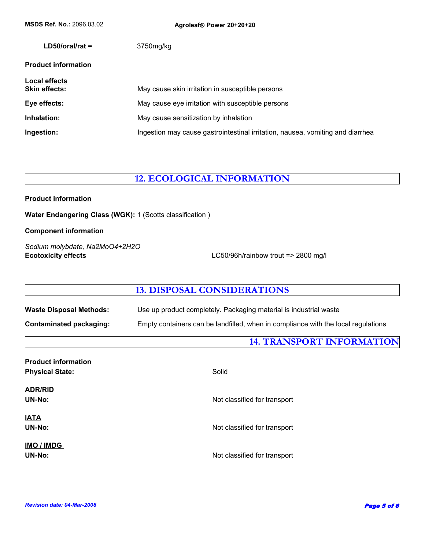| <b>MSDS Ref. No.: 2096.03.02</b>             | Agroleaf® Power 20+20+20                                                       |
|----------------------------------------------|--------------------------------------------------------------------------------|
| $LD50/oral/rat =$                            | 3750mg/kg                                                                      |
| <b>Product information</b>                   |                                                                                |
| <b>Local effects</b><br><b>Skin effects:</b> | May cause skin irritation in susceptible persons                               |
| Eye effects:                                 | May cause eye irritation with susceptible persons                              |
| Inhalation:                                  | May cause sensitization by inhalation                                          |
| Ingestion:                                   | Ingestion may cause gastrointestinal irritation, nausea, vomiting and diarrhea |

# **12. ECOLOGICAL INFORMATION**

### **Product information**

**Water Endangering Class (WGK):** 1 (Scotts classification )

### **Component information**

*Sodium molybdate, Na2MoO4+2H2O* **Ecotoxicity effects** LC50/96h/rainbow trout => 2800 mg/l

### **13. DISPOSAL CONSIDERATIONS**

| <b>Waste Disposal Methods:</b> |  |
|--------------------------------|--|
|--------------------------------|--|

**Contaminated packaging:** Empty containers can be landfilled, when in compliance with the local regulations

Use up product completely. Packaging material is industrial waste

**14. TRANSPORT INFORMATION**

| Solid                        |
|------------------------------|
|                              |
| Not classified for transport |
|                              |
| Not classified for transport |
|                              |
| Not classified for transport |
|                              |